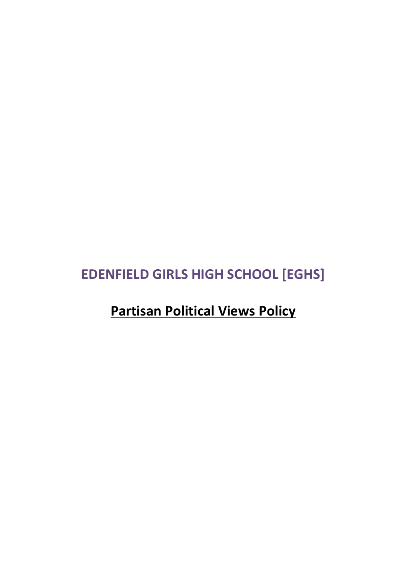## **EDENFIELD GIRLS HIGH SCHOOL [EGHS]**

# **Partisan Political Views Policy**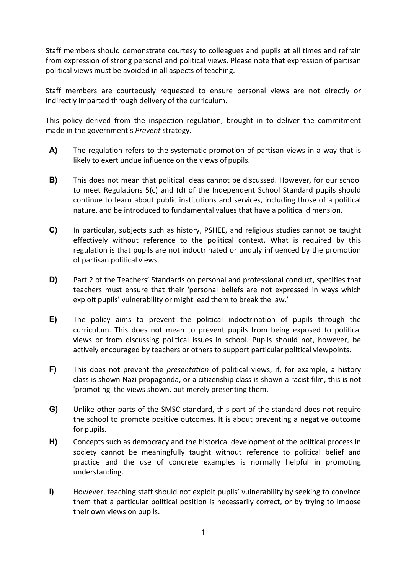Staff members should demonstrate courtesy to colleagues and pupils at all times and refrain from expression of strong personal and political views. Please note that expression of partisan political views must be avoided in all aspects of teaching.

Staff members are courteously requested to ensure personal views are not directly or indirectly imparted through delivery of the curriculum.

This policy derived from the inspection regulation, brought in to deliver the commitment made in the government's *Prevent* strategy.

- **A)** The regulation refers to the systematic promotion of partisan views in a way that is likely to exert undue influence on the views of pupils.
- **B)** This does not mean that political ideas cannot be discussed. However, for our school to meet Regulations 5(c) and (d) of the Independent School Standard pupils should continue to learn about public institutions and services, including those of a political nature, and be introduced to fundamental values that have a political dimension.
- **C)** In particular, subjects such as history, PSHEE, and religious studies cannot be taught effectively without reference to the political context. What is required by this regulation is that pupils are not indoctrinated or unduly influenced by the promotion of partisan political views.
- **D)** Part 2 of the Teachers' Standards on personal and professional conduct, specifies that teachers must ensure that their 'personal beliefs are not expressed in ways which exploit pupils' vulnerability or might lead them to break the law.'
- **E)** The policy aims to prevent the political indoctrination of pupils through the curriculum. This does not mean to prevent pupils from being exposed to political views or from discussing political issues in school. Pupils should not, however, be actively encouraged by teachers or others to support particular political viewpoints.
- **F)** This does not prevent the *presentation* of political views, if, for example, a history class is shown Nazi propaganda, or a citizenship class is shown a racist film, this is not 'promoting' the views shown, but merely presenting them.
- **G)** Unlike other parts of the SMSC standard, this part of the standard does not require the school to promote positive outcomes. It is about preventing a negative outcome for pupils.
- **H)** Concepts such as democracy and the historical development of the political process in society cannot be meaningfully taught without reference to political belief and practice and the use of concrete examples is normally helpful in promoting understanding.
- **I)** However, teaching staff should not exploit pupils' vulnerability by seeking to convince them that a particular political position is necessarily correct, or by trying to impose their own views on pupils.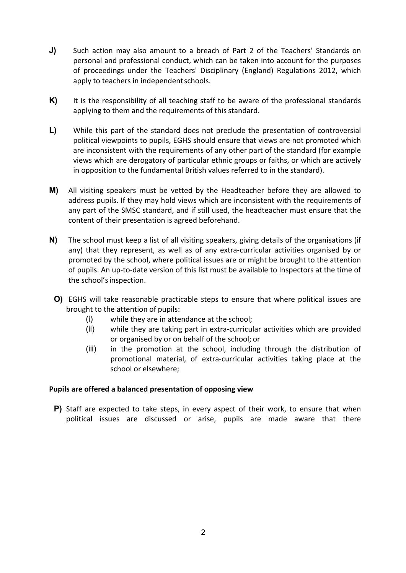- **J)** Such action may also amount to a breach of Part 2 of the Teachers' Standards on personal and professional conduct, which can be taken into account for the purposes of proceedings under the Teachers' Disciplinary (England) Regulations 2012, which apply to teachers in independent schools.
- K) It is the responsibility of all teaching staff to be aware of the professional standards applying to them and the requirements of this standard.
- **L)** While this part of the standard does not preclude the presentation of controversial political viewpoints to pupils, EGHS should ensure that views are not promoted which are inconsistent with the requirements of any other part of the standard (for example views which are derogatory of particular ethnic groups or faiths, or which are actively in opposition to the fundamental British values referred to in the standard).
- **M)** All visiting speakers must be vetted by the Headteacher before they are allowed to address pupils. If they may hold views which are inconsistent with the requirements of any part of the SMSC standard, and if still used, the headteacher must ensure that the content of their presentation is agreed beforehand.
- **N)** The school must keep a list of all visiting speakers, giving details of the organisations (if any) that they represent, as well as of any extra-curricular activities organised by or promoted by the school, where political issues are or might be brought to the attention of pupils. An up-to-date version of this list must be available to Inspectors at the time of the school's inspection.
- **O)** EGHS will take reasonable practicable steps to ensure that where political issues are brought to the attention of pupils:
	- (i) while they are in attendance at the school;
	- (ii) while they are taking part in extra-curricular activities which are provided or organised by or on behalf of the school; or
	- (iii) in the promotion at the school, including through the distribution of promotional material, of extra-curricular activities taking place at the school or elsewhere;

## **Pupils are offered a balanced presentation of opposing view**

**P)** Staff are expected to take steps, in every aspect of their work, to ensure that when political issues are discussed or arise, pupils are made aware that there